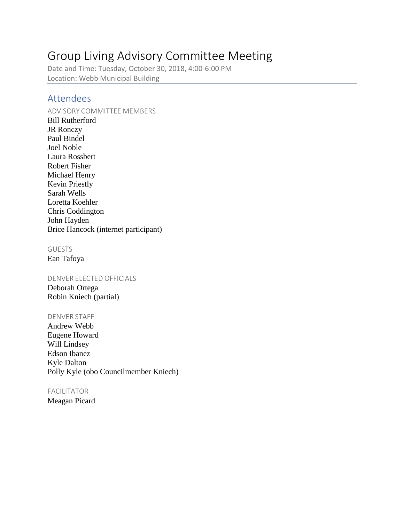# Group Living Advisory Committee Meeting

Date and Time: Tuesday, October 30, 2018, 4:00-6:00 PM Location: Webb Municipal Building

## Attendees

#### ADVISORY COMMITTEE MEMBERS

Bill Rutherford JR Ronczy Paul Bindel Joel Noble Laura Rossbert Robert Fisher Michael Henry Kevin Priestly Sarah Wells Loretta Koehler Chris Coddington John Hayden Brice Hancock (internet participant)

#### **GUESTS**

Ean Tafoya

#### DENVER ELECTED OFFICIALS

Deborah Ortega Robin Kniech (partial)

#### DENVER STAFF

Andrew Webb Eugene Howard Will Lindsey Edson Ibanez Kyle Dalton Polly Kyle (obo Councilmember Kniech)

#### FACILITATOR

Meagan Picard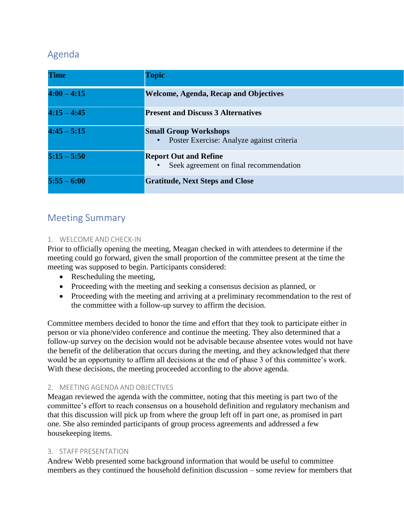# Agenda

| <b>Time</b>   | <b>Topic</b>                                                                           |
|---------------|----------------------------------------------------------------------------------------|
| $4:00 - 4:15$ | <b>Welcome, Agenda, Recap and Objectives</b>                                           |
| $4:15 - 4:45$ | <b>Present and Discuss 3 Alternatives</b>                                              |
| $4:45 - 5:15$ | <b>Small Group Workshops</b><br>Poster Exercise: Analyze against criteria<br>$\bullet$ |
| $5:15 - 5:50$ | <b>Report Out and Refine</b><br>Seek agreement on final recommendation                 |
| $5:55 - 6:00$ | <b>Gratitude, Next Steps and Close</b>                                                 |

# Meeting Summary

### 1. WELCOME AND CHECK-IN

Prior to officially opening the meeting, Meagan checked in with attendees to determine if the meeting could go forward, given the small proportion of the committee present at the time the meeting was supposed to begin. Participants considered:

- Rescheduling the meeting,
- Proceeding with the meeting and seeking a consensus decision as planned, or
- Proceeding with the meeting and arriving at a preliminary recommendation to the rest of the committee with a follow-up survey to affirm the decision.

Committee members decided to honor the time and effort that they took to participate either in person or via phone/video conference and continue the meeting. They also determined that a follow-up survey on the decision would not be advisable because absentee votes would not have the benefit of the deliberation that occurs during the meeting, and they acknowledged that there would be an opportunity to affirm all decisions at the end of phase 3 of this committee's work. With these decisions, the meeting proceeded according to the above agenda.

### 2. MEETING AGENDA AND OBJECTIVES

Meagan reviewed the agenda with the committee, noting that this meeting is part two of the committee's effort to reach consensus on a household definition and regulatory mechanism and that this discussion will pick up from where the group left off in part one, as promised in part one. She also reminded participants of group process agreements and addressed a few housekeeping items.

### 3. STAFF PRESENTATION

Andrew Webb presented some background information that would be useful to committee members as they continued the household definition discussion – some review for members that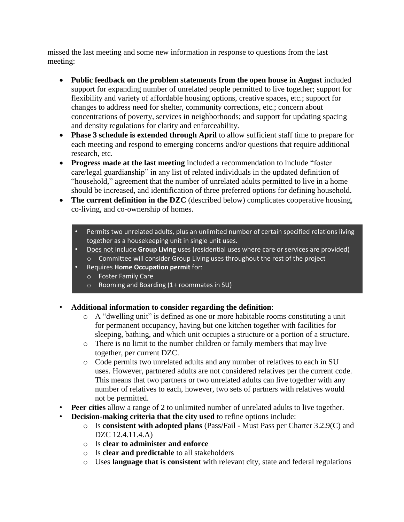missed the last meeting and some new information in response to questions from the last meeting:

- **Public feedback on the problem statements from the open house in August** included support for expanding number of unrelated people permitted to live together; support for flexibility and variety of affordable housing options, creative spaces, etc.; support for changes to address need for shelter, community corrections, etc.; concern about concentrations of poverty, services in neighborhoods; and support for updating spacing and density regulations for clarity and enforceability.
- **Phase 3 schedule is extended through April** to allow sufficient staff time to prepare for each meeting and respond to emerging concerns and/or questions that require additional research, etc.
- **Progress made at the last meeting** included a recommendation to include "foster care/legal guardianship" in any list of related individuals in the updated definition of "household," agreement that the number of unrelated adults permitted to live in a home should be increased, and identification of three preferred options for defining household.
- **The current definition in the DZC** (described below) complicates cooperative housing, co-living, and co-ownership of homes.
	- Permits two unrelated adults, plus an unlimited number of certain specified relations living together as a housekeeping unit in single unit uses.
	- Does not include **Group Living** uses (residential uses where care or services are provided) o Committee will consider Group Living uses throughout the rest of the project
	- Requires **Home Occupation permit** for:
		- o Foster Family Care
		- o Rooming and Boarding (1+ roommates in SU)
- **Additional information to consider regarding the definition**:
	- o A "dwelling unit" is defined as one or more habitable rooms constituting a unit for permanent occupancy, having but one kitchen together with facilities for sleeping, bathing, and which unit occupies a structure or a portion of a structure.
	- o There is no limit to the number children or family members that may live together, per current DZC.
	- o Code permits two unrelated adults and any number of relatives to each in SU uses. However, partnered adults are not considered relatives per the current code. This means that two partners or two unrelated adults can live together with any number of relatives to each, however, two sets of partners with relatives would not be permitted.
- **Peer cities** allow a range of 2 to unlimited number of unrelated adults to live together.
- **Decision-making criteria that the city used** to refine options include:
	- o Is **consistent with adopted plans** (Pass/Fail Must Pass per Charter 3.2.9(C) and DZC 12.4.11.4.A)
	- o Is **clear to administer and enforce**
	- o Is **clear and predictable** to all stakeholders
	- o Uses **language that is consistent** with relevant city, state and federal regulations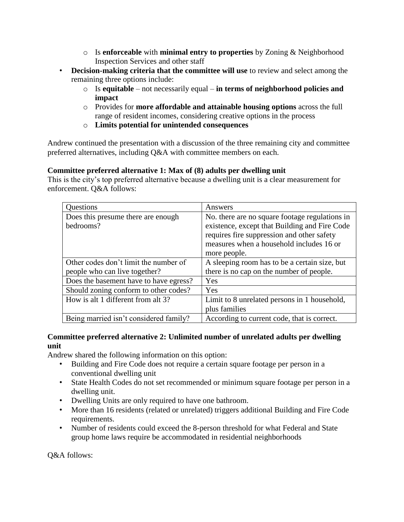- o Is **enforceable** with **minimal entry to properties** by Zoning & Neighborhood Inspection Services and other staff
- **Decision-making criteria that the committee will use** to review and select among the remaining three options include:
	- o Is **equitable**  not necessarily equal **in terms of neighborhood policies and impact**
	- o Provides for **more affordable and attainable housing options** across the full range of resident incomes, considering creative options in the process
	- o **Limits potential for unintended consequences**

Andrew continued the presentation with a discussion of the three remaining city and committee preferred alternatives, including Q&A with committee members on each.

### **Committee preferred alternative 1: Max of (8) adults per dwelling unit**

This is the city's top preferred alternative because a dwelling unit is a clear measurement for enforcement. Q&A follows:

| Questions                                       | Answers                                                                                                                                                                                                   |
|-------------------------------------------------|-----------------------------------------------------------------------------------------------------------------------------------------------------------------------------------------------------------|
| Does this presume there are enough<br>bedrooms? | No. there are no square footage regulations in<br>existence, except that Building and Fire Code<br>requires fire suppression and other safety<br>measures when a household includes 16 or<br>more people. |
| Other codes don't limit the number of           | A sleeping room has to be a certain size, but                                                                                                                                                             |
| people who can live together?                   | there is no cap on the number of people.                                                                                                                                                                  |
| Does the basement have to have egress?          | Yes                                                                                                                                                                                                       |
| Should zoning conform to other codes?           | Yes                                                                                                                                                                                                       |
| How is alt 1 different from alt 3?              | Limit to 8 unrelated persons in 1 household,<br>plus families                                                                                                                                             |
| Being married isn't considered family?          | According to current code, that is correct.                                                                                                                                                               |

#### **Committee preferred alternative 2: Unlimited number of unrelated adults per dwelling unit**

Andrew shared the following information on this option:

- Building and Fire Code does not require a certain square footage per person in a conventional dwelling unit
- State Health Codes do not set recommended or minimum square footage per person in a dwelling unit.
- Dwelling Units are only required to have one bathroom.
- More than 16 residents (related or unrelated) triggers additional Building and Fire Code requirements.
- Number of residents could exceed the 8-person threshold for what Federal and State group home laws require be accommodated in residential neighborhoods

Q&A follows: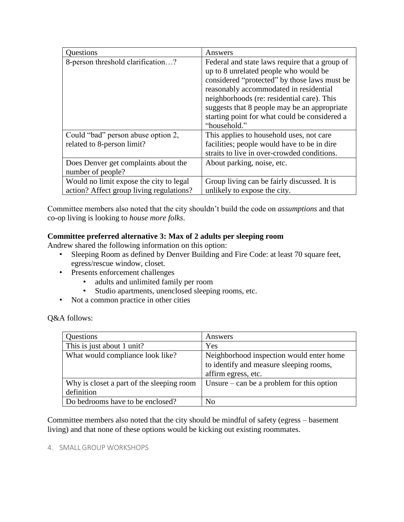| Questions                                                                           | Answers                                                                                                                                                                                                                         |
|-------------------------------------------------------------------------------------|---------------------------------------------------------------------------------------------------------------------------------------------------------------------------------------------------------------------------------|
| 8-person threshold clarification?                                                   | Federal and state laws require that a group of<br>up to 8 unrelated people who would be<br>considered "protected" by those laws must be<br>reasonably accommodated in residential<br>neighborhoods (re: residential care). This |
|                                                                                     | suggests that 8 people may be an appropriate<br>starting point for what could be considered a<br>"household."                                                                                                                   |
| Could "bad" person abuse option 2,<br>related to 8-person limit?                    | This applies to household uses, not care<br>facilities; people would have to be in dire<br>straits to live in over-crowded conditions.                                                                                          |
| Does Denver get complaints about the<br>number of people?                           | About parking, noise, etc.                                                                                                                                                                                                      |
| Would no limit expose the city to legal<br>action? Affect group living regulations? | Group living can be fairly discussed. It is<br>unlikely to expose the city.                                                                                                                                                     |

Committee members also noted that the city shouldn't build the code on *assumptions* and that co-op living is looking to *house more folks*.

### **Committee preferred alternative 3: Max of 2 adults per sleeping room**

Andrew shared the following information on this option:

- Sleeping Room as defined by Denver Building and Fire Code: at least 70 square feet, egress/rescue window, closet.
- Presents enforcement challenges
	- adults and unlimited family per room
	- Studio apartments, unenclosed sleeping rooms, etc.
- Not a common practice in other cities

Q&A follows:

| Questions                                               | Answers                                                                                                    |
|---------------------------------------------------------|------------------------------------------------------------------------------------------------------------|
| This is just about 1 unit?                              | Yes                                                                                                        |
| What would compliance look like?                        | Neighborhood inspection would enter home<br>to identify and measure sleeping rooms,<br>affirm egress, etc. |
| Why is closet a part of the sleeping room<br>definition | Unsure $-$ can be a problem for this option                                                                |
| Do bedrooms have to be enclosed?                        | No                                                                                                         |

Committee members also noted that the city should be mindful of safety (egress – basement living) and that none of these options would be kicking out existing roommates.

#### 4. SMALL GROUP WORKSHOPS